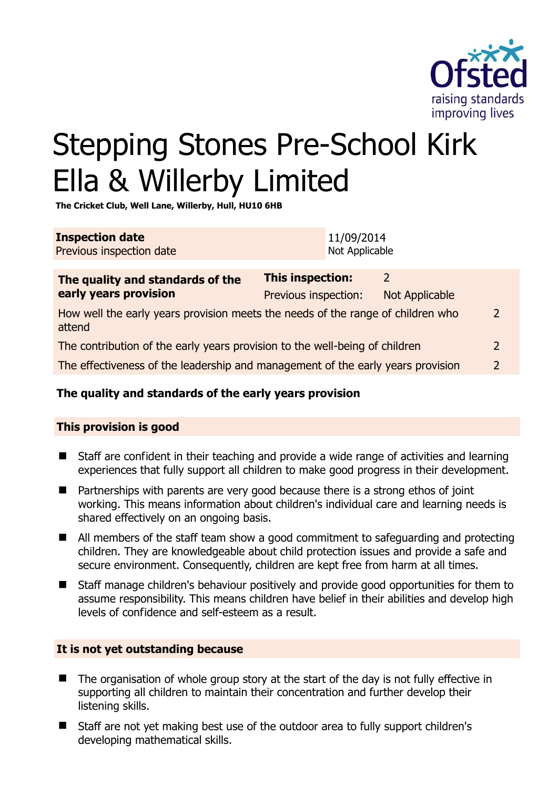

2

# Stepping Stones Pre-School Kirk Ella & Willerby Limited

**The Cricket Club, Well Lane, Willerby, Hull, HU10 6HB** 

| <b>Inspection date</b><br>Previous inspection date                                        |                                                 | 11/09/2014<br>Not Applicable |                                        |                |
|-------------------------------------------------------------------------------------------|-------------------------------------------------|------------------------------|----------------------------------------|----------------|
| The quality and standards of the<br>early years provision                                 | <b>This inspection:</b><br>Previous inspection: |                              | $\mathcal{L}$<br><b>Not Applicable</b> |                |
| How well the early years provision meets the needs of the range of children who<br>attend |                                                 |                              |                                        |                |
| The contribution of the early years provision to the well-being of children               |                                                 |                              |                                        |                |
| The effectiveness of the leadership and management of the early years provision           |                                                 |                              |                                        | $\overline{2}$ |

# **The quality and standards of the early years provision**

#### **This provision is good**

- Staff are confident in their teaching and provide a wide range of activities and learning experiences that fully support all children to make good progress in their development.
- Partnerships with parents are very good because there is a strong ethos of joint working. This means information about children's individual care and learning needs is shared effectively on an ongoing basis.
- All members of the staff team show a good commitment to safeguarding and protecting children. They are knowledgeable about child protection issues and provide a safe and secure environment. Consequently, children are kept free from harm at all times.
- Staff manage children's behaviour positively and provide good opportunities for them to assume responsibility. This means children have belief in their abilities and develop high levels of confidence and self-esteem as a result.

#### **It is not yet outstanding because**

- The organisation of whole group story at the start of the day is not fully effective in supporting all children to maintain their concentration and further develop their listening skills.
- Staff are not yet making best use of the outdoor area to fully support children's developing mathematical skills.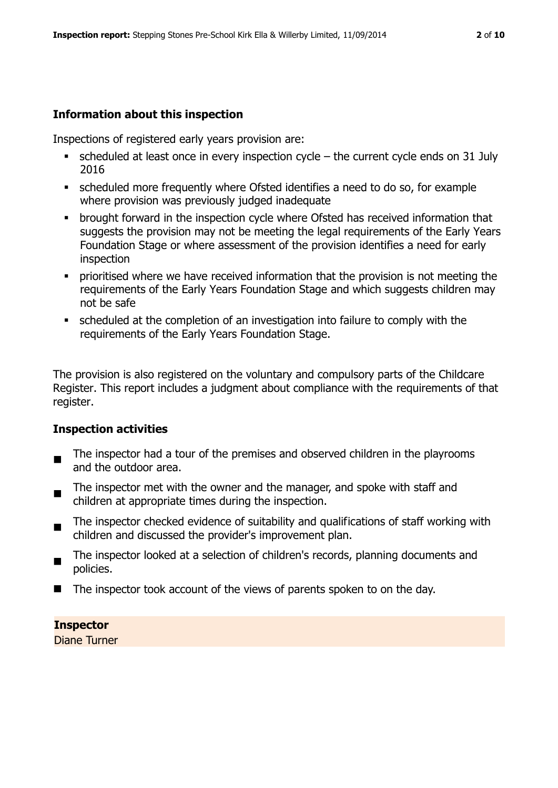# **Information about this inspection**

Inspections of registered early years provision are:

- $\bullet$  scheduled at least once in every inspection cycle the current cycle ends on 31 July 2016
- scheduled more frequently where Ofsted identifies a need to do so, for example where provision was previously judged inadequate
- **•** brought forward in the inspection cycle where Ofsted has received information that suggests the provision may not be meeting the legal requirements of the Early Years Foundation Stage or where assessment of the provision identifies a need for early inspection
- **Prioritised where we have received information that the provision is not meeting the** requirements of the Early Years Foundation Stage and which suggests children may not be safe
- scheduled at the completion of an investigation into failure to comply with the requirements of the Early Years Foundation Stage.

The provision is also registered on the voluntary and compulsory parts of the Childcare Register. This report includes a judgment about compliance with the requirements of that register.

#### **Inspection activities**

- $\blacksquare$ The inspector had a tour of the premises and observed children in the playrooms and the outdoor area.
- The inspector met with the owner and the manager, and spoke with staff and children at appropriate times during the inspection.
- $\blacksquare$ The inspector checked evidence of suitability and qualifications of staff working with children and discussed the provider's improvement plan.
- The inspector looked at a selection of children's records, planning documents and policies.
- $\blacksquare$  The inspector took account of the views of parents spoken to on the day.

#### **Inspector**

Diane Turner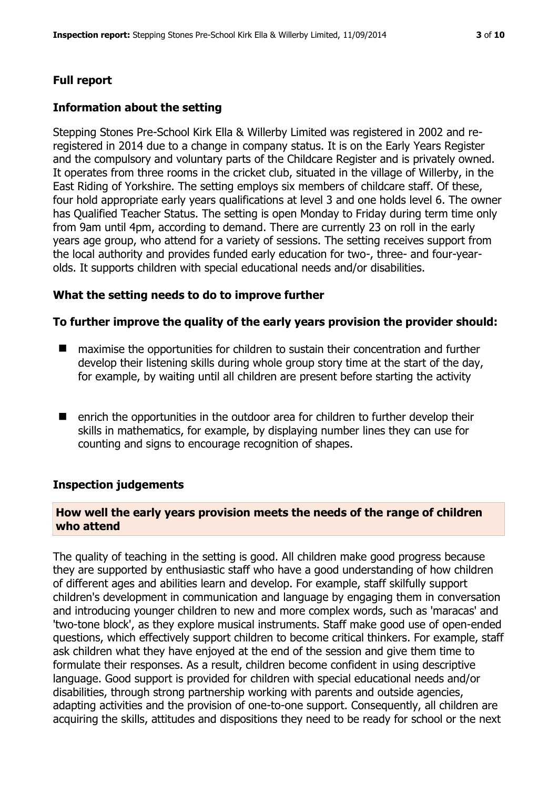# **Full report**

### **Information about the setting**

Stepping Stones Pre-School Kirk Ella & Willerby Limited was registered in 2002 and reregistered in 2014 due to a change in company status. It is on the Early Years Register and the compulsory and voluntary parts of the Childcare Register and is privately owned. It operates from three rooms in the cricket club, situated in the village of Willerby, in the East Riding of Yorkshire. The setting employs six members of childcare staff. Of these, four hold appropriate early years qualifications at level 3 and one holds level 6. The owner has Qualified Teacher Status. The setting is open Monday to Friday during term time only from 9am until 4pm, according to demand. There are currently 23 on roll in the early years age group, who attend for a variety of sessions. The setting receives support from the local authority and provides funded early education for two-, three- and four-yearolds. It supports children with special educational needs and/or disabilities.

#### **What the setting needs to do to improve further**

#### **To further improve the quality of the early years provision the provider should:**

- maximise the opportunities for children to sustain their concentration and further develop their listening skills during whole group story time at the start of the day, for example, by waiting until all children are present before starting the activity
- enrich the opportunities in the outdoor area for children to further develop their skills in mathematics, for example, by displaying number lines they can use for counting and signs to encourage recognition of shapes.

#### **Inspection judgements**

# **How well the early years provision meets the needs of the range of children who attend**

The quality of teaching in the setting is good. All children make good progress because they are supported by enthusiastic staff who have a good understanding of how children of different ages and abilities learn and develop. For example, staff skilfully support children's development in communication and language by engaging them in conversation and introducing younger children to new and more complex words, such as 'maracas' and 'two-tone block', as they explore musical instruments. Staff make good use of open-ended questions, which effectively support children to become critical thinkers. For example, staff ask children what they have enjoyed at the end of the session and give them time to formulate their responses. As a result, children become confident in using descriptive language. Good support is provided for children with special educational needs and/or disabilities, through strong partnership working with parents and outside agencies, adapting activities and the provision of one-to-one support. Consequently, all children are acquiring the skills, attitudes and dispositions they need to be ready for school or the next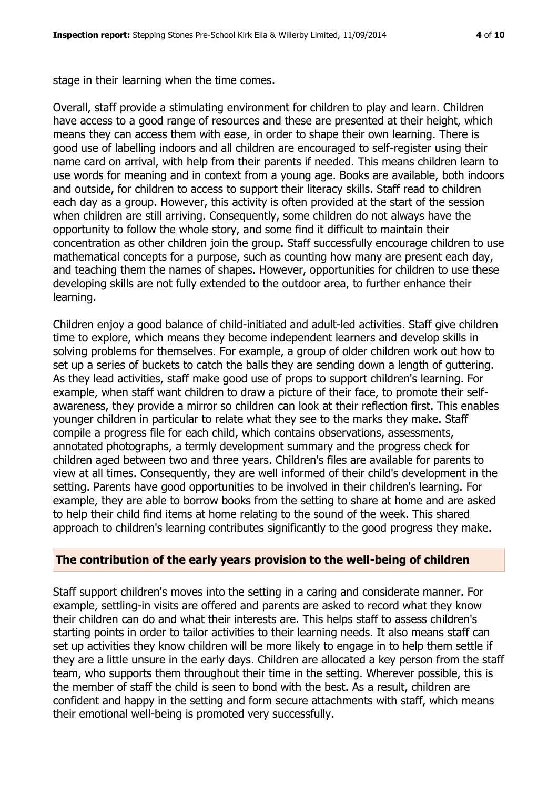stage in their learning when the time comes.

Overall, staff provide a stimulating environment for children to play and learn. Children have access to a good range of resources and these are presented at their height, which means they can access them with ease, in order to shape their own learning. There is good use of labelling indoors and all children are encouraged to self-register using their name card on arrival, with help from their parents if needed. This means children learn to use words for meaning and in context from a young age. Books are available, both indoors and outside, for children to access to support their literacy skills. Staff read to children each day as a group. However, this activity is often provided at the start of the session when children are still arriving. Consequently, some children do not always have the opportunity to follow the whole story, and some find it difficult to maintain their concentration as other children join the group. Staff successfully encourage children to use mathematical concepts for a purpose, such as counting how many are present each day, and teaching them the names of shapes. However, opportunities for children to use these developing skills are not fully extended to the outdoor area, to further enhance their learning.

Children enjoy a good balance of child-initiated and adult-led activities. Staff give children time to explore, which means they become independent learners and develop skills in solving problems for themselves. For example, a group of older children work out how to set up a series of buckets to catch the balls they are sending down a length of guttering. As they lead activities, staff make good use of props to support children's learning. For example, when staff want children to draw a picture of their face, to promote their selfawareness, they provide a mirror so children can look at their reflection first. This enables younger children in particular to relate what they see to the marks they make. Staff compile a progress file for each child, which contains observations, assessments, annotated photographs, a termly development summary and the progress check for children aged between two and three years. Children's files are available for parents to view at all times. Consequently, they are well informed of their child's development in the setting. Parents have good opportunities to be involved in their children's learning. For example, they are able to borrow books from the setting to share at home and are asked to help their child find items at home relating to the sound of the week. This shared approach to children's learning contributes significantly to the good progress they make.

#### **The contribution of the early years provision to the well-being of children**

Staff support children's moves into the setting in a caring and considerate manner. For example, settling-in visits are offered and parents are asked to record what they know their children can do and what their interests are. This helps staff to assess children's starting points in order to tailor activities to their learning needs. It also means staff can set up activities they know children will be more likely to engage in to help them settle if they are a little unsure in the early days. Children are allocated a key person from the staff team, who supports them throughout their time in the setting. Wherever possible, this is the member of staff the child is seen to bond with the best. As a result, children are confident and happy in the setting and form secure attachments with staff, which means their emotional well-being is promoted very successfully.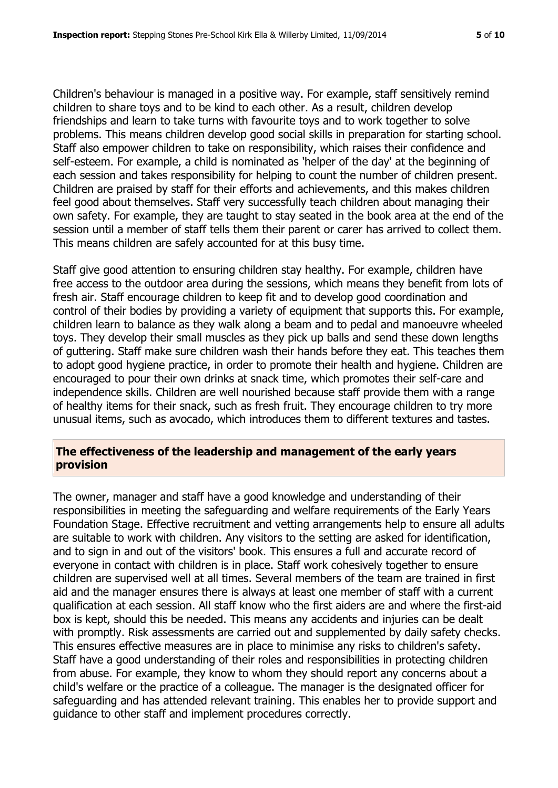Children's behaviour is managed in a positive way. For example, staff sensitively remind children to share toys and to be kind to each other. As a result, children develop friendships and learn to take turns with favourite toys and to work together to solve problems. This means children develop good social skills in preparation for starting school. Staff also empower children to take on responsibility, which raises their confidence and self-esteem. For example, a child is nominated as 'helper of the day' at the beginning of each session and takes responsibility for helping to count the number of children present. Children are praised by staff for their efforts and achievements, and this makes children feel good about themselves. Staff very successfully teach children about managing their own safety. For example, they are taught to stay seated in the book area at the end of the session until a member of staff tells them their parent or carer has arrived to collect them. This means children are safely accounted for at this busy time.

Staff give good attention to ensuring children stay healthy. For example, children have free access to the outdoor area during the sessions, which means they benefit from lots of fresh air. Staff encourage children to keep fit and to develop good coordination and control of their bodies by providing a variety of equipment that supports this. For example, children learn to balance as they walk along a beam and to pedal and manoeuvre wheeled toys. They develop their small muscles as they pick up balls and send these down lengths of guttering. Staff make sure children wash their hands before they eat. This teaches them to adopt good hygiene practice, in order to promote their health and hygiene. Children are encouraged to pour their own drinks at snack time, which promotes their self-care and independence skills. Children are well nourished because staff provide them with a range of healthy items for their snack, such as fresh fruit. They encourage children to try more unusual items, such as avocado, which introduces them to different textures and tastes.

#### **The effectiveness of the leadership and management of the early years provision**

The owner, manager and staff have a good knowledge and understanding of their responsibilities in meeting the safeguarding and welfare requirements of the Early Years Foundation Stage. Effective recruitment and vetting arrangements help to ensure all adults are suitable to work with children. Any visitors to the setting are asked for identification, and to sign in and out of the visitors' book. This ensures a full and accurate record of everyone in contact with children is in place. Staff work cohesively together to ensure children are supervised well at all times. Several members of the team are trained in first aid and the manager ensures there is always at least one member of staff with a current qualification at each session. All staff know who the first aiders are and where the first-aid box is kept, should this be needed. This means any accidents and injuries can be dealt with promptly. Risk assessments are carried out and supplemented by daily safety checks. This ensures effective measures are in place to minimise any risks to children's safety. Staff have a good understanding of their roles and responsibilities in protecting children from abuse. For example, they know to whom they should report any concerns about a child's welfare or the practice of a colleague. The manager is the designated officer for safeguarding and has attended relevant training. This enables her to provide support and guidance to other staff and implement procedures correctly.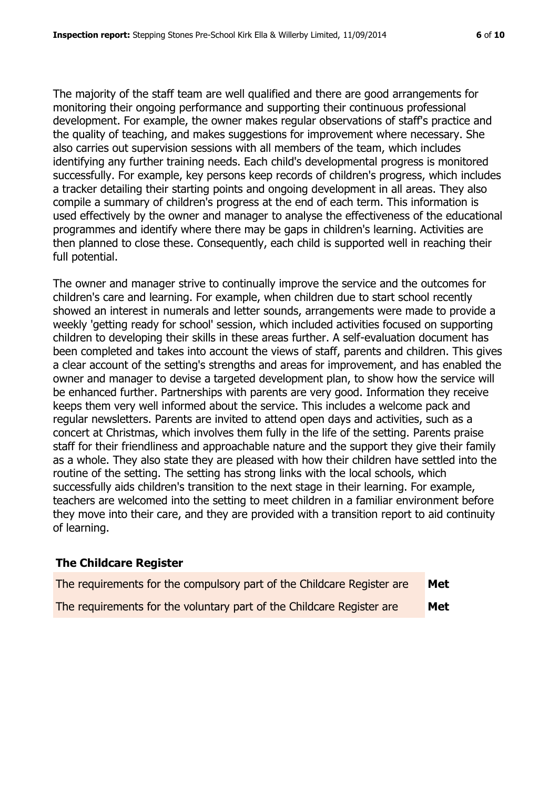The majority of the staff team are well qualified and there are good arrangements for monitoring their ongoing performance and supporting their continuous professional development. For example, the owner makes regular observations of staff's practice and the quality of teaching, and makes suggestions for improvement where necessary. She also carries out supervision sessions with all members of the team, which includes identifying any further training needs. Each child's developmental progress is monitored successfully. For example, key persons keep records of children's progress, which includes a tracker detailing their starting points and ongoing development in all areas. They also compile a summary of children's progress at the end of each term. This information is used effectively by the owner and manager to analyse the effectiveness of the educational programmes and identify where there may be gaps in children's learning. Activities are then planned to close these. Consequently, each child is supported well in reaching their full potential.

The owner and manager strive to continually improve the service and the outcomes for children's care and learning. For example, when children due to start school recently showed an interest in numerals and letter sounds, arrangements were made to provide a weekly 'getting ready for school' session, which included activities focused on supporting children to developing their skills in these areas further. A self-evaluation document has been completed and takes into account the views of staff, parents and children. This gives a clear account of the setting's strengths and areas for improvement, and has enabled the owner and manager to devise a targeted development plan, to show how the service will be enhanced further. Partnerships with parents are very good. Information they receive keeps them very well informed about the service. This includes a welcome pack and regular newsletters. Parents are invited to attend open days and activities, such as a concert at Christmas, which involves them fully in the life of the setting. Parents praise staff for their friendliness and approachable nature and the support they give their family as a whole. They also state they are pleased with how their children have settled into the routine of the setting. The setting has strong links with the local schools, which successfully aids children's transition to the next stage in their learning. For example, teachers are welcomed into the setting to meet children in a familiar environment before they move into their care, and they are provided with a transition report to aid continuity of learning.

#### **The Childcare Register**

| The requirements for the compulsory part of the Childcare Register are | Met |
|------------------------------------------------------------------------|-----|
| The requirements for the voluntary part of the Childcare Register are  | Met |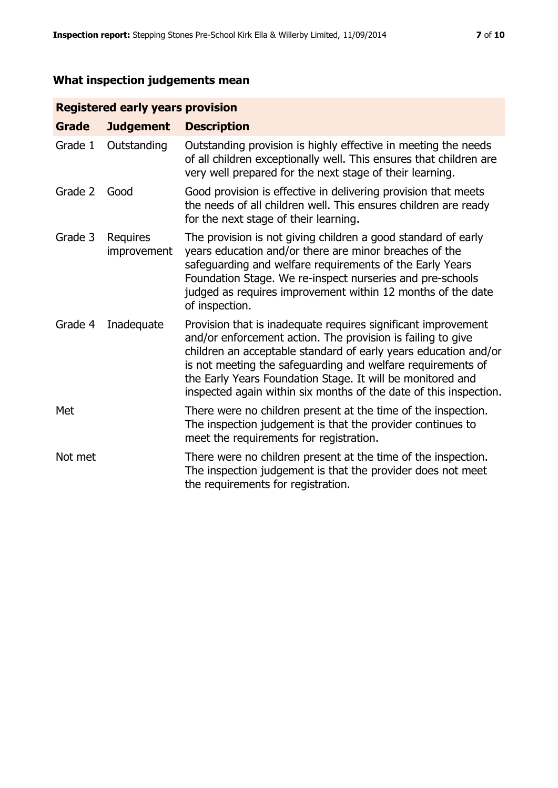# **What inspection judgements mean**

# **Registered early years provision**

| <b>Grade</b> | <b>Judgement</b>               | <b>Description</b>                                                                                                                                                                                                                                                                                                                                                                                |
|--------------|--------------------------------|---------------------------------------------------------------------------------------------------------------------------------------------------------------------------------------------------------------------------------------------------------------------------------------------------------------------------------------------------------------------------------------------------|
| Grade 1      | Outstanding                    | Outstanding provision is highly effective in meeting the needs<br>of all children exceptionally well. This ensures that children are<br>very well prepared for the next stage of their learning.                                                                                                                                                                                                  |
| Grade 2      | Good                           | Good provision is effective in delivering provision that meets<br>the needs of all children well. This ensures children are ready<br>for the next stage of their learning.                                                                                                                                                                                                                        |
| Grade 3      | <b>Requires</b><br>improvement | The provision is not giving children a good standard of early<br>years education and/or there are minor breaches of the<br>safeguarding and welfare requirements of the Early Years<br>Foundation Stage. We re-inspect nurseries and pre-schools<br>judged as requires improvement within 12 months of the date<br>of inspection.                                                                 |
| Grade 4      | Inadequate                     | Provision that is inadequate requires significant improvement<br>and/or enforcement action. The provision is failing to give<br>children an acceptable standard of early years education and/or<br>is not meeting the safeguarding and welfare requirements of<br>the Early Years Foundation Stage. It will be monitored and<br>inspected again within six months of the date of this inspection. |
| Met          |                                | There were no children present at the time of the inspection.<br>The inspection judgement is that the provider continues to<br>meet the requirements for registration.                                                                                                                                                                                                                            |
| Not met      |                                | There were no children present at the time of the inspection.<br>The inspection judgement is that the provider does not meet<br>the requirements for registration.                                                                                                                                                                                                                                |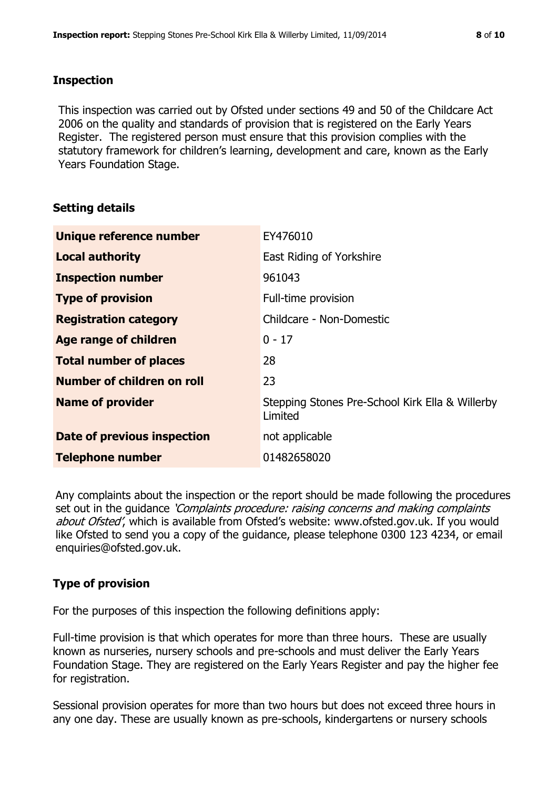#### **Inspection**

This inspection was carried out by Ofsted under sections 49 and 50 of the Childcare Act 2006 on the quality and standards of provision that is registered on the Early Years Register. The registered person must ensure that this provision complies with the statutory framework for children's learning, development and care, known as the Early Years Foundation Stage.

# **Setting details**

| Unique reference number       | EY476010                                                   |
|-------------------------------|------------------------------------------------------------|
| <b>Local authority</b>        | East Riding of Yorkshire                                   |
| <b>Inspection number</b>      | 961043                                                     |
| <b>Type of provision</b>      | Full-time provision                                        |
| <b>Registration category</b>  | Childcare - Non-Domestic                                   |
| Age range of children         | $0 - 17$                                                   |
| <b>Total number of places</b> | 28                                                         |
| Number of children on roll    | 23                                                         |
| <b>Name of provider</b>       | Stepping Stones Pre-School Kirk Ella & Willerby<br>Limited |
| Date of previous inspection   | not applicable                                             |
| <b>Telephone number</b>       | 01482658020                                                |

Any complaints about the inspection or the report should be made following the procedures set out in the quidance *'Complaints procedure: raising concerns and making complaints* about Ofsted', which is available from Ofsted's website: www.ofsted.gov.uk. If you would like Ofsted to send you a copy of the guidance, please telephone 0300 123 4234, or email enquiries@ofsted.gov.uk.

# **Type of provision**

For the purposes of this inspection the following definitions apply:

Full-time provision is that which operates for more than three hours. These are usually known as nurseries, nursery schools and pre-schools and must deliver the Early Years Foundation Stage. They are registered on the Early Years Register and pay the higher fee for registration.

Sessional provision operates for more than two hours but does not exceed three hours in any one day. These are usually known as pre-schools, kindergartens or nursery schools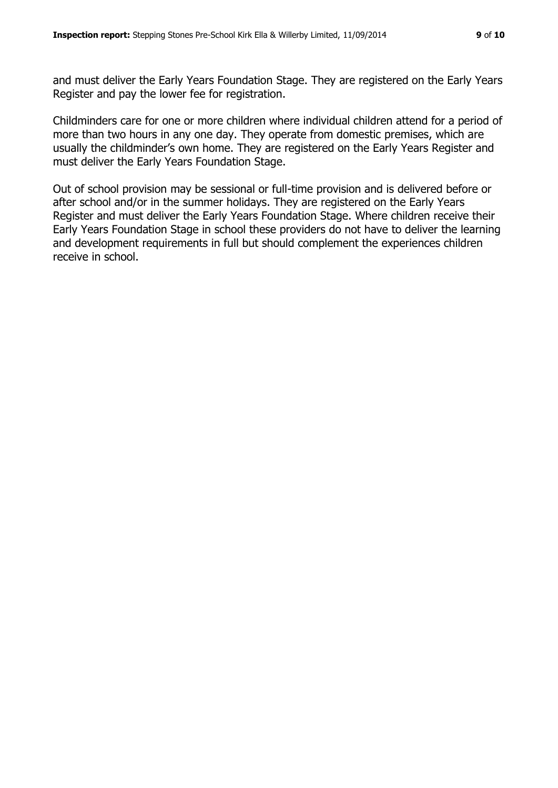and must deliver the Early Years Foundation Stage. They are registered on the Early Years Register and pay the lower fee for registration.

Childminders care for one or more children where individual children attend for a period of more than two hours in any one day. They operate from domestic premises, which are usually the childminder's own home. They are registered on the Early Years Register and must deliver the Early Years Foundation Stage.

Out of school provision may be sessional or full-time provision and is delivered before or after school and/or in the summer holidays. They are registered on the Early Years Register and must deliver the Early Years Foundation Stage. Where children receive their Early Years Foundation Stage in school these providers do not have to deliver the learning and development requirements in full but should complement the experiences children receive in school.